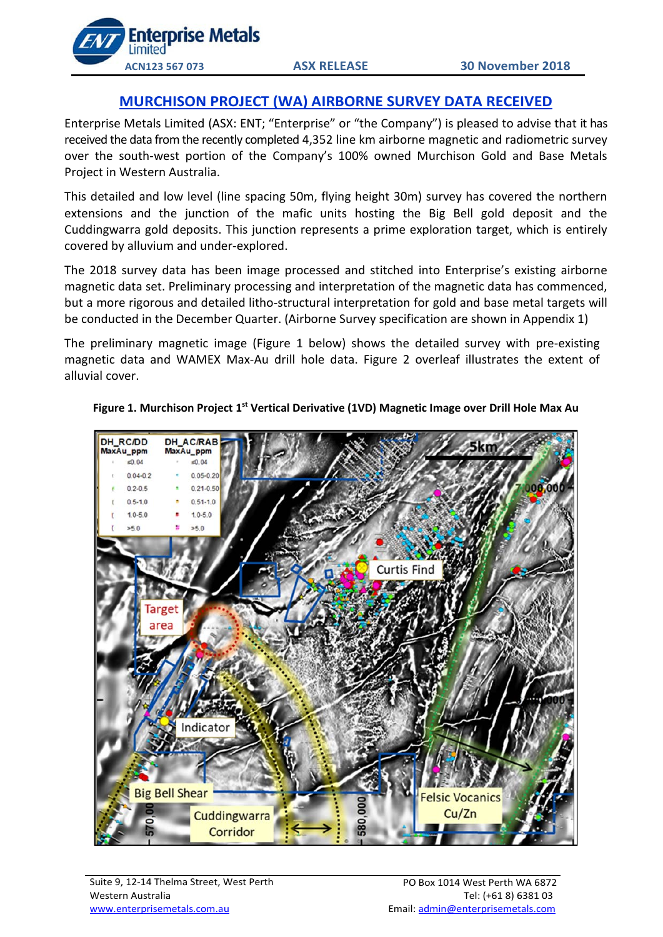

# **MURCHISON PROJECT (WA) AIRBORNE SURVEY DATA RECEIVED**

Enterprise Metals Limited (ASX: ENT; "Enterprise" or "the Company") is pleased to advise that it has received the data from the recently completed 4,352 line km airborne magnetic and radiometric survey over the south-west portion of the Company's 100% owned Murchison Gold and Base Metals Project in Western Australia.

This detailed and low level (line spacing 50m, flying height 30m) survey has covered the northern extensions and the junction of the mafic units hosting the Big Bell gold deposit and the Cuddingwarra gold deposits. This junction represents a prime exploration target, which is entirely covered by alluvium and under-explored.

The 2018 survey data has been image processed and stitched into Enterprise's existing airborne magnetic data set. Preliminary processing and interpretation of the magnetic data has commenced, but a more rigorous and detailed litho-structural interpretation for gold and base metal targets will be conducted in the December Quarter. (Airborne Survey specification are shown in Appendix 1)

The preliminary magnetic image (Figure 1 below) shows the detailed survey with pre-existing magnetic data and WAMEX Max-Au drill hole data. Figure 2 overleaf illustrates the extent of alluvial cover.



**Figure 1. Murchison Project 1st Vertical Derivative (1VD) Magnetic Image over Drill Hole Max Au**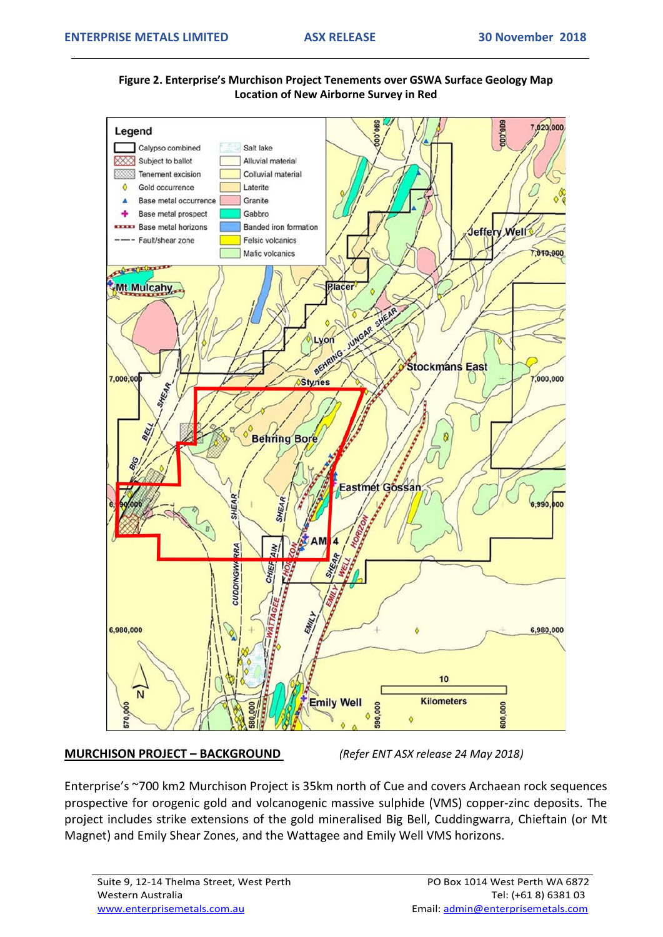



**MURCHISON PROJECT – BACKGROUND** *(Refer ENT ASX release 24 May 2018)*

Enterprise's ~700 km2 Murchison Project is 35km north of Cue and covers Archaean rock sequences prospective for orogenic gold and volcanogenic massive sulphide (VMS) copper-zinc deposits. The project includes strike extensions of the gold mineralised Big Bell, Cuddingwarra, Chieftain (or Mt Magnet) and Emily Shear Zones, and the Wattagee and Emily Well VMS horizons.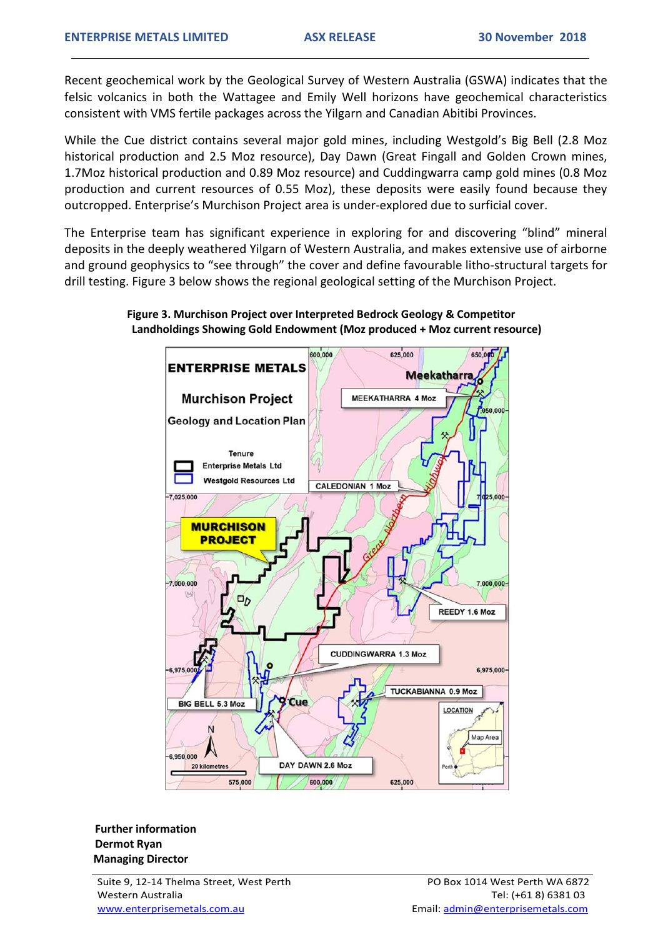Recent geochemical work by the Geological Survey of Western Australia (GSWA) indicates that the felsic volcanics in both the Wattagee and Emily Well horizons have geochemical characteristics consistent with VMS fertile packages across the Yilgarn and Canadian Abitibi Provinces.

While the Cue district contains several major gold mines, including Westgold's Big Bell (2.8 Moz historical production and 2.5 Moz resource), Day Dawn (Great Fingall and Golden Crown mines, 1.7Moz historical production and 0.89 Moz resource) and Cuddingwarra camp gold mines (0.8 Moz production and current resources of 0.55 Moz), these deposits were easily found because they outcropped. Enterprise's Murchison Project area is under-explored due to surficial cover.

The Enterprise team has significant experience in exploring for and discovering "blind" mineral deposits in the deeply weathered Yilgarn of Western Australia, and makes extensive use of airborne and ground geophysics to "see through" the cover and define favourable litho-structural targets for drill testing. Figure 3 below shows the regional geological setting of the Murchison Project.

## **Figure 3. Murchison Project over Interpreted Bedrock Geology & Competitor Landholdings Showing Gold Endowment (Moz produced + Moz current resource)**



 **Further information Dermot Ryan Managing Director** 

Suite 9, 12-14 Thelma Street, West Perth Western Australia www.enterprisemetals.com.au